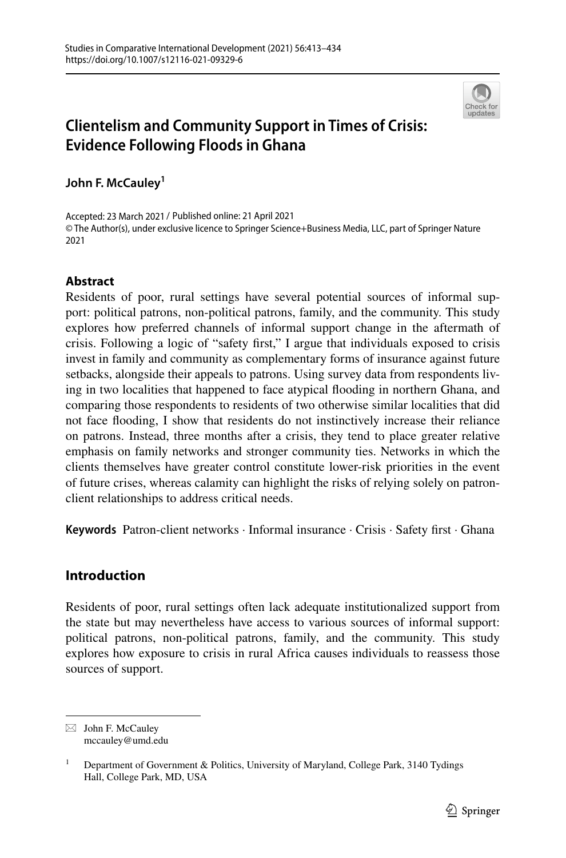

# **Clientelism and Community Support in Times of Crisis: Evidence Following Floods in Ghana**

**John F. McCauley<sup>1</sup>**

Accepted: 23 March 2021 / Published online: 21 April 2021© The Author(s), under exclusive licence to Springer Science+Business Media, LLC, part of Springer Nature 2021

## **Abstract**

Residents of poor, rural settings have several potential sources of informal support: political patrons, non-political patrons, family, and the community. This study explores how preferred channels of informal support change in the aftermath of crisis. Following a logic of "safety frst," I argue that individuals exposed to crisis invest in family and community as complementary forms of insurance against future setbacks, alongside their appeals to patrons. Using survey data from respondents living in two localities that happened to face atypical fooding in northern Ghana, and comparing those respondents to residents of two otherwise similar localities that did not face fooding, I show that residents do not instinctively increase their reliance on patrons. Instead, three months after a crisis, they tend to place greater relative emphasis on family networks and stronger community ties. Networks in which the clients themselves have greater control constitute lower-risk priorities in the event of future crises, whereas calamity can highlight the risks of relying solely on patronclient relationships to address critical needs.

**Keywords** Patron-client networks · Informal insurance · Crisis · Safety frst · Ghana

## **Introduction**

Residents of poor, rural settings often lack adequate institutionalized support from the state but may nevertheless have access to various sources of informal support: political patrons, non-political patrons, family, and the community. This study explores how exposure to crisis in rural Africa causes individuals to reassess those sources of support.

 $\boxtimes$  John F. McCauley mccauley@umd.edu

<sup>&</sup>lt;sup>1</sup> Department of Government & Politics, University of Maryland, College Park, 3140 Tydings Hall, College Park, MD, USA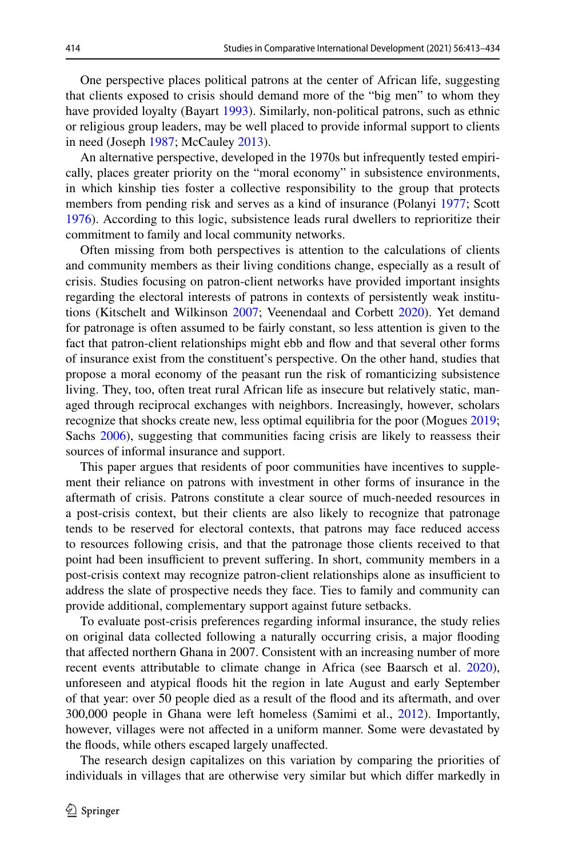One perspective places political patrons at the center of African life, suggesting that clients exposed to crisis should demand more of the "big men" to whom they have provided loyalty (Bayart [1993\)](#page-19-0). Similarly, non-political patrons, such as ethnic or religious group leaders, may be well placed to provide informal support to clients in need (Joseph [1987;](#page-20-0) McCauley [2013\)](#page-20-1).

An alternative perspective, developed in the 1970s but infrequently tested empirically, places greater priority on the "moral economy" in subsistence environments, in which kinship ties foster a collective responsibility to the group that protects members from pending risk and serves as a kind of insurance (Polanyi [1977;](#page-20-2) Scott [1976](#page-21-0)). According to this logic, subsistence leads rural dwellers to reprioritize their commitment to family and local community networks.

Often missing from both perspectives is attention to the calculations of clients and community members as their living conditions change, especially as a result of crisis. Studies focusing on patron-client networks have provided important insights regarding the electoral interests of patrons in contexts of persistently weak institutions (Kitschelt and Wilkinson [2007;](#page-20-3) Veenendaal and Corbett [2020\)](#page-21-1). Yet demand for patronage is often assumed to be fairly constant, so less attention is given to the fact that patron-client relationships might ebb and fow and that several other forms of insurance exist from the constituent's perspective. On the other hand, studies that propose a moral economy of the peasant run the risk of romanticizing subsistence living. They, too, often treat rural African life as insecure but relatively static, managed through reciprocal exchanges with neighbors. Increasingly, however, scholars recognize that shocks create new, less optimal equilibria for the poor (Mogues [2019;](#page-20-4) Sachs  $2006$ ), suggesting that communities facing crisis are likely to reassess their sources of informal insurance and support.

This paper argues that residents of poor communities have incentives to supplement their reliance on patrons with investment in other forms of insurance in the aftermath of crisis. Patrons constitute a clear source of much-needed resources in a post-crisis context, but their clients are also likely to recognize that patronage tends to be reserved for electoral contexts, that patrons may face reduced access to resources following crisis, and that the patronage those clients received to that point had been insufficient to prevent suffering. In short, community members in a post-crisis context may recognize patron-client relationships alone as insufficient to address the slate of prospective needs they face. Ties to family and community can provide additional, complementary support against future setbacks.

To evaluate post-crisis preferences regarding informal insurance, the study relies on original data collected following a naturally occurring crisis, a major fooding that afected northern Ghana in 2007. Consistent with an increasing number of more recent events attributable to climate change in Africa (see Baarsch et al. [2020\)](#page-19-1), unforeseen and atypical foods hit the region in late August and early September of that year: over 50 people died as a result of the food and its aftermath, and over 300,000 people in Ghana were left homeless (Samimi et al., [2012](#page-21-2)). Importantly, however, villages were not afected in a uniform manner. Some were devastated by the floods, while others escaped largely unaffected.

The research design capitalizes on this variation by comparing the priorities of individuals in villages that are otherwise very similar but which difer markedly in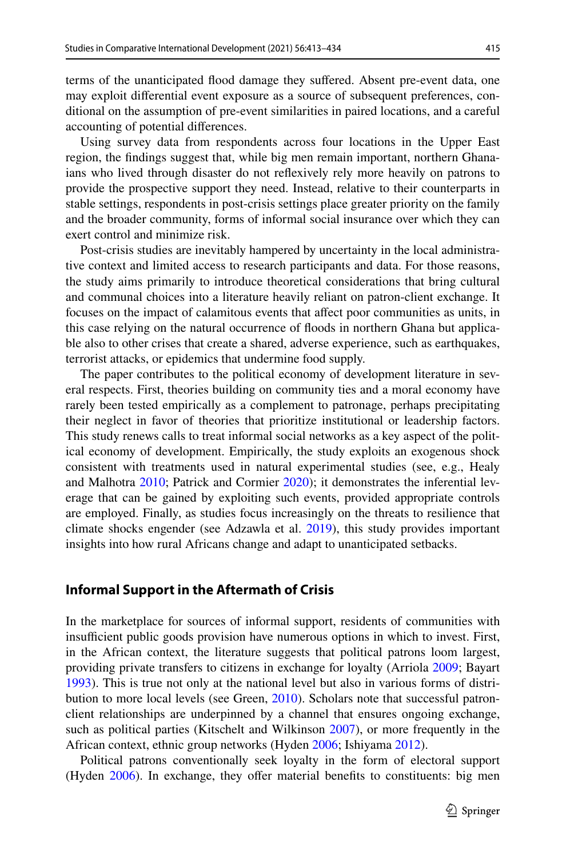terms of the unanticipated food damage they sufered. Absent pre-event data, one may exploit diferential event exposure as a source of subsequent preferences, conditional on the assumption of pre-event similarities in paired locations, and a careful accounting of potential diferences.

Using survey data from respondents across four locations in the Upper East region, the fndings suggest that, while big men remain important, northern Ghanaians who lived through disaster do not refexively rely more heavily on patrons to provide the prospective support they need. Instead, relative to their counterparts in stable settings, respondents in post-crisis settings place greater priority on the family and the broader community, forms of informal social insurance over which they can exert control and minimize risk.

Post-crisis studies are inevitably hampered by uncertainty in the local administrative context and limited access to research participants and data. For those reasons, the study aims primarily to introduce theoretical considerations that bring cultural and communal choices into a literature heavily reliant on patron-client exchange. It focuses on the impact of calamitous events that afect poor communities as units, in this case relying on the natural occurrence of foods in northern Ghana but applicable also to other crises that create a shared, adverse experience, such as earthquakes, terrorist attacks, or epidemics that undermine food supply.

The paper contributes to the political economy of development literature in several respects. First, theories building on community ties and a moral economy have rarely been tested empirically as a complement to patronage, perhaps precipitating their neglect in favor of theories that prioritize institutional or leadership factors. This study renews calls to treat informal social networks as a key aspect of the political economy of development. Empirically, the study exploits an exogenous shock consistent with treatments used in natural experimental studies (see, e.g., Healy and Malhotra [2010](#page-19-2); Patrick and Cormier [2020](#page-20-6)); it demonstrates the inferential leverage that can be gained by exploiting such events, provided appropriate controls are employed. Finally, as studies focus increasingly on the threats to resilience that climate shocks engender (see Adzawla et al. [2019\)](#page-18-0), this study provides important insights into how rural Africans change and adapt to unanticipated setbacks.

#### **Informal Support in the Aftermath of Crisis**

In the marketplace for sources of informal support, residents of communities with insufficient public goods provision have numerous options in which to invest. First, in the African context, the literature suggests that political patrons loom largest, providing private transfers to citizens in exchange for loyalty (Arriola [2009](#page-19-3); Bayart [1993](#page-19-0)). This is true not only at the national level but also in various forms of distribution to more local levels (see Green, [2010](#page-19-4)). Scholars note that successful patronclient relationships are underpinned by a channel that ensures ongoing exchange, such as political parties (Kitschelt and Wilkinson [2007](#page-20-3)), or more frequently in the African context, ethnic group networks (Hyden [2006;](#page-19-5) Ishiyama [2012\)](#page-19-6).

Political patrons conventionally seek loyalty in the form of electoral support (Hyden  $2006$ ). In exchange, they offer material benefits to constituents: big men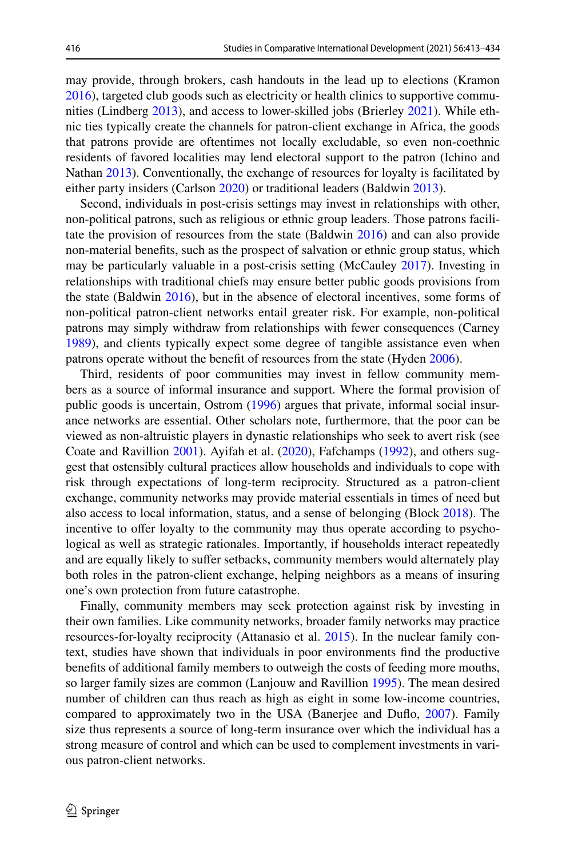may provide, through brokers, cash handouts in the lead up to elections (Kramon [2016](#page-20-7)), targeted club goods such as electricity or health clinics to supportive communities (Lindberg [2013](#page-20-8)), and access to lower-skilled jobs (Brierley [2021\)](#page-19-7). While ethnic ties typically create the channels for patron-client exchange in Africa, the goods that patrons provide are oftentimes not locally excludable, so even non-coethnic residents of favored localities may lend electoral support to the patron (Ichino and Nathan [2013](#page-19-8)). Conventionally, the exchange of resources for loyalty is facilitated by either party insiders (Carlson [2020](#page-19-9)) or traditional leaders (Baldwin [2013\)](#page-19-10).

Second, individuals in post-crisis settings may invest in relationships with other, non-political patrons, such as religious or ethnic group leaders. Those patrons facilitate the provision of resources from the state (Baldwin [2016\)](#page-19-11) and can also provide non-material benefts, such as the prospect of salvation or ethnic group status, which may be particularly valuable in a post-crisis setting (McCauley [2017\)](#page-20-9). Investing in relationships with traditional chiefs may ensure better public goods provisions from the state (Baldwin [2016](#page-19-11)), but in the absence of electoral incentives, some forms of non-political patron-client networks entail greater risk. For example, non-political patrons may simply withdraw from relationships with fewer consequences (Carney [1989](#page-19-12)), and clients typically expect some degree of tangible assistance even when patrons operate without the beneft of resources from the state (Hyden [2006\)](#page-19-5).

Third, residents of poor communities may invest in fellow community members as a source of informal insurance and support. Where the formal provision of public goods is uncertain, Ostrom ([1996\)](#page-20-10) argues that private, informal social insurance networks are essential. Other scholars note, furthermore, that the poor can be viewed as non-altruistic players in dynastic relationships who seek to avert risk (see Coate and Ravillion [2001](#page-19-13)). Ayifah et al. ([2020\)](#page-19-14), Fafchamps ([1992\)](#page-19-15), and others suggest that ostensibly cultural practices allow households and individuals to cope with risk through expectations of long-term reciprocity. Structured as a patron-client exchange, community networks may provide material essentials in times of need but also access to local information, status, and a sense of belonging (Block [2018](#page-19-16)). The incentive to offer loyalty to the community may thus operate according to psychological as well as strategic rationales. Importantly, if households interact repeatedly and are equally likely to sufer setbacks, community members would alternately play both roles in the patron-client exchange, helping neighbors as a means of insuring one's own protection from future catastrophe.

Finally, community members may seek protection against risk by investing in their own families. Like community networks, broader family networks may practice resources-for-loyalty reciprocity (Attanasio et al. [2015](#page-18-1)). In the nuclear family context, studies have shown that individuals in poor environments fnd the productive benefts of additional family members to outweigh the costs of feeding more mouths, so larger family sizes are common (Lanjouw and Ravillion [1995\)](#page-20-11). The mean desired number of children can thus reach as high as eight in some low-income countries, compared to approximately two in the USA (Banerjee and Dufo, [2007](#page-19-17)). Family size thus represents a source of long-term insurance over which the individual has a strong measure of control and which can be used to complement investments in various patron-client networks.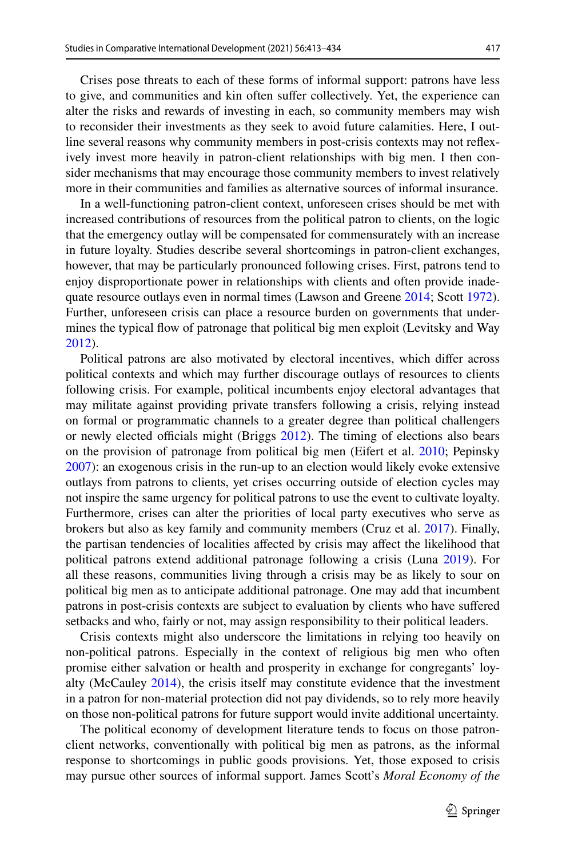Crises pose threats to each of these forms of informal support: patrons have less to give, and communities and kin often sufer collectively. Yet, the experience can alter the risks and rewards of investing in each, so community members may wish to reconsider their investments as they seek to avoid future calamities. Here, I outline several reasons why community members in post-crisis contexts may not refexively invest more heavily in patron-client relationships with big men. I then consider mechanisms that may encourage those community members to invest relatively more in their communities and families as alternative sources of informal insurance.

In a well-functioning patron-client context, unforeseen crises should be met with increased contributions of resources from the political patron to clients, on the logic that the emergency outlay will be compensated for commensurately with an increase in future loyalty. Studies describe several shortcomings in patron-client exchanges, however, that may be particularly pronounced following crises. First, patrons tend to enjoy disproportionate power in relationships with clients and often provide inadequate resource outlays even in normal times (Lawson and Greene [2014](#page-20-12); Scott [1972\)](#page-21-3). Further, unforeseen crisis can place a resource burden on governments that undermines the typical fow of patronage that political big men exploit (Levitsky and Way [2012](#page-20-13)).

Political patrons are also motivated by electoral incentives, which difer across political contexts and which may further discourage outlays of resources to clients following crisis. For example, political incumbents enjoy electoral advantages that may militate against providing private transfers following a crisis, relying instead on formal or programmatic channels to a greater degree than political challengers or newly elected officials might (Briggs  $2012$ ). The timing of elections also bears on the provision of patronage from political big men (Eifert et al. [2010;](#page-19-19) Pepinsky [2007](#page-20-14)): an exogenous crisis in the run-up to an election would likely evoke extensive outlays from patrons to clients, yet crises occurring outside of election cycles may not inspire the same urgency for political patrons to use the event to cultivate loyalty. Furthermore, crises can alter the priorities of local party executives who serve as brokers but also as key family and community members (Cruz et al. [2017\)](#page-19-20). Finally, the partisan tendencies of localities afected by crisis may afect the likelihood that political patrons extend additional patronage following a crisis (Luna [2019](#page-20-15)). For all these reasons, communities living through a crisis may be as likely to sour on political big men as to anticipate additional patronage. One may add that incumbent patrons in post-crisis contexts are subject to evaluation by clients who have sufered setbacks and who, fairly or not, may assign responsibility to their political leaders.

Crisis contexts might also underscore the limitations in relying too heavily on non-political patrons. Especially in the context of religious big men who often promise either salvation or health and prosperity in exchange for congregants' loyalty (McCauley [2014](#page-20-16)), the crisis itself may constitute evidence that the investment in a patron for non-material protection did not pay dividends, so to rely more heavily on those non-political patrons for future support would invite additional uncertainty.

The political economy of development literature tends to focus on those patronclient networks, conventionally with political big men as patrons, as the informal response to shortcomings in public goods provisions. Yet, those exposed to crisis may pursue other sources of informal support. James Scott's *Moral Economy of the*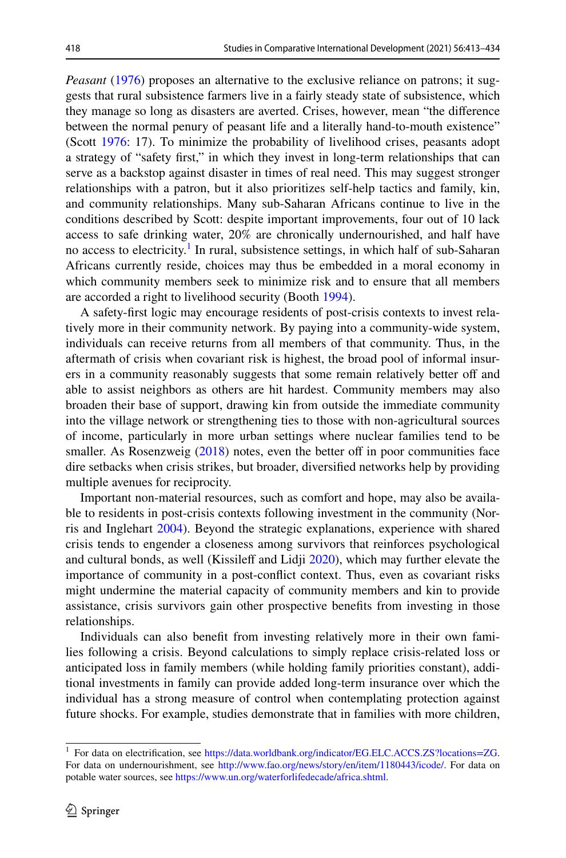*Peasant* [\(1976](#page-21-0)) proposes an alternative to the exclusive reliance on patrons; it suggests that rural subsistence farmers live in a fairly steady state of subsistence, which they manage so long as disasters are averted. Crises, however, mean "the diference between the normal penury of peasant life and a literally hand-to-mouth existence" (Scott [1976](#page-21-0): 17). To minimize the probability of livelihood crises, peasants adopt a strategy of "safety frst," in which they invest in long-term relationships that can serve as a backstop against disaster in times of real need. This may suggest stronger relationships with a patron, but it also prioritizes self-help tactics and family, kin, and community relationships. Many sub-Saharan Africans continue to live in the conditions described by Scott: despite important improvements, four out of 10 lack access to safe drinking water, 20% are chronically undernourished, and half have no access to electricity.<sup>[1](#page-5-0)</sup> In rural, subsistence settings, in which half of sub-Saharan Africans currently reside, choices may thus be embedded in a moral economy in which community members seek to minimize risk and to ensure that all members are accorded a right to livelihood security (Booth [1994\)](#page-19-21).

A safety-frst logic may encourage residents of post-crisis contexts to invest relatively more in their community network. By paying into a community-wide system, individuals can receive returns from all members of that community. Thus, in the aftermath of crisis when covariant risk is highest, the broad pool of informal insurers in a community reasonably suggests that some remain relatively better off and able to assist neighbors as others are hit hardest. Community members may also broaden their base of support, drawing kin from outside the immediate community into the village network or strengthening ties to those with non-agricultural sources of income, particularly in more urban settings where nuclear families tend to be smaller. As Rosenzweig  $(2018)$  $(2018)$  notes, even the better off in poor communities face dire setbacks when crisis strikes, but broader, diversifed networks help by providing multiple avenues for reciprocity.

Important non-material resources, such as comfort and hope, may also be available to residents in post-crisis contexts following investment in the community (Norris and Inglehart [2004](#page-20-18)). Beyond the strategic explanations, experience with shared crisis tends to engender a closeness among survivors that reinforces psychological and cultural bonds, as well (Kissileff and Lidji [2020](#page-20-19)), which may further elevate the importance of community in a post-confict context. Thus, even as covariant risks might undermine the material capacity of community members and kin to provide assistance, crisis survivors gain other prospective benefts from investing in those relationships.

Individuals can also beneft from investing relatively more in their own families following a crisis. Beyond calculations to simply replace crisis-related loss or anticipated loss in family members (while holding family priorities constant), additional investments in family can provide added long-term insurance over which the individual has a strong measure of control when contemplating protection against future shocks. For example, studies demonstrate that in families with more children,

<span id="page-5-0"></span><sup>&</sup>lt;sup>1</sup> For data on electrification, see <https://data.worldbank.org/indicator/EG.ELC.ACCS.ZS?locations=ZG>. For data on undernourishment, see [http://www.fao.org/news/story/en/item/1180443/icode/.](http://www.fao.org/news/story/en/item/1180443/icode/) For data on potable water sources, see [https://www.un.org/waterforlifedecade/africa.shtml.](https://www.un.org/waterforlifedecade/africa.shtml)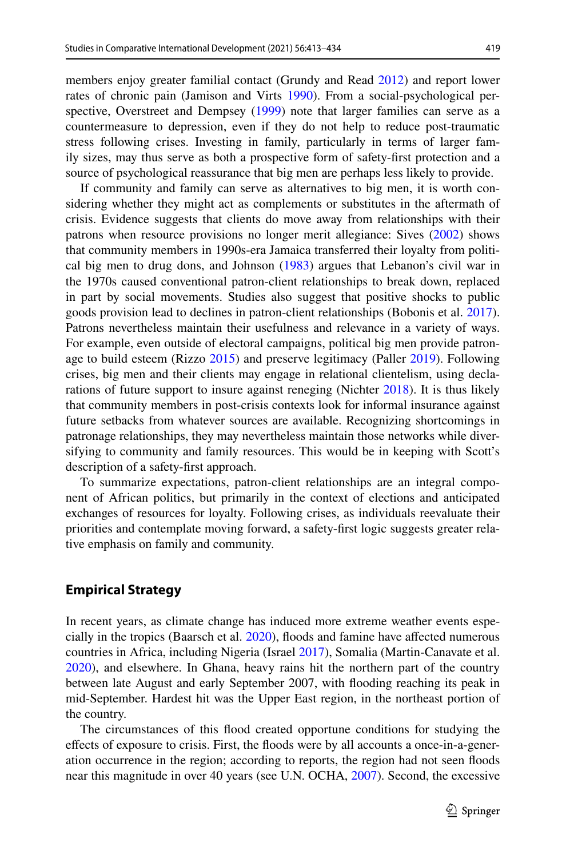members enjoy greater familial contact (Grundy and Read [2012\)](#page-19-22) and report lower rates of chronic pain (Jamison and Virts [1990](#page-20-20)). From a social-psychological perspective, Overstreet and Dempsey [\(1999](#page-20-21)) note that larger families can serve as a countermeasure to depression, even if they do not help to reduce post-traumatic stress following crises. Investing in family, particularly in terms of larger family sizes, may thus serve as both a prospective form of safety-frst protection and a source of psychological reassurance that big men are perhaps less likely to provide.

If community and family can serve as alternatives to big men, it is worth considering whether they might act as complements or substitutes in the aftermath of crisis. Evidence suggests that clients do move away from relationships with their patrons when resource provisions no longer merit allegiance: Sives ([2002\)](#page-21-4) shows that community members in 1990s-era Jamaica transferred their loyalty from political big men to drug dons, and Johnson [\(1983](#page-20-22)) argues that Lebanon's civil war in the 1970s caused conventional patron-client relationships to break down, replaced in part by social movements. Studies also suggest that positive shocks to public goods provision lead to declines in patron-client relationships (Bobonis et al. [2017\)](#page-19-23). Patrons nevertheless maintain their usefulness and relevance in a variety of ways. For example, even outside of electoral campaigns, political big men provide patronage to build esteem (Rizzo [2015\)](#page-20-23) and preserve legitimacy (Paller [2019\)](#page-20-24). Following crises, big men and their clients may engage in relational clientelism, using decla-rations of future support to insure against reneging (Nichter [2018\)](#page-20-25). It is thus likely that community members in post-crisis contexts look for informal insurance against future setbacks from whatever sources are available. Recognizing shortcomings in patronage relationships, they may nevertheless maintain those networks while diversifying to community and family resources. This would be in keeping with Scott's description of a safety-frst approach.

To summarize expectations, patron-client relationships are an integral component of African politics, but primarily in the context of elections and anticipated exchanges of resources for loyalty. Following crises, as individuals reevaluate their priorities and contemplate moving forward, a safety-frst logic suggests greater relative emphasis on family and community.

## **Empirical Strategy**

In recent years, as climate change has induced more extreme weather events especially in the tropics (Baarsch et al. [2020\)](#page-19-1), foods and famine have afected numerous countries in Africa, including Nigeria (Israel [2017](#page-20-26)), Somalia (Martin-Canavate et al. [2020](#page-20-27)), and elsewhere. In Ghana, heavy rains hit the northern part of the country between late August and early September 2007, with fooding reaching its peak in mid-September. Hardest hit was the Upper East region, in the northeast portion of the country.

The circumstances of this food created opportune conditions for studying the efects of exposure to crisis. First, the foods were by all accounts a once-in-a-generation occurrence in the region; according to reports, the region had not seen foods near this magnitude in over 40 years (see U.N. OCHA, [2007\)](#page-21-5). Second, the excessive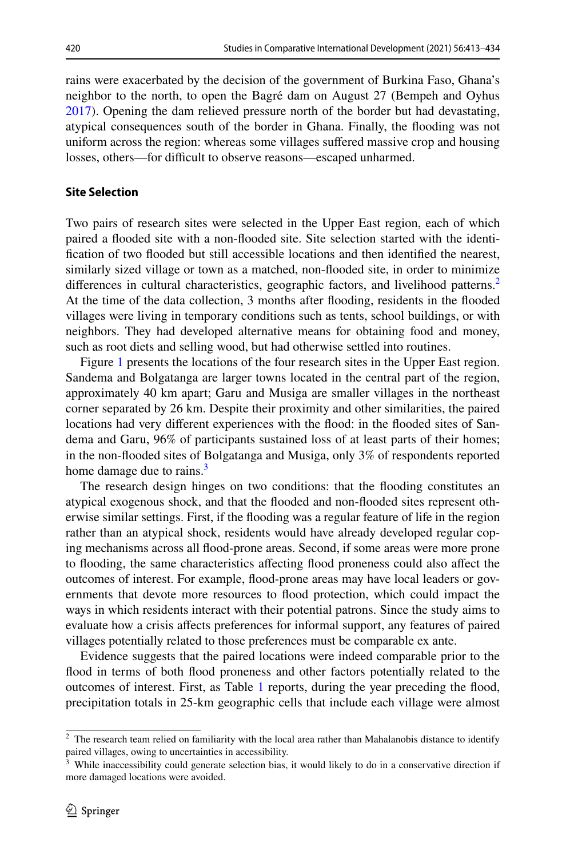rains were exacerbated by the decision of the government of Burkina Faso, Ghana's neighbor to the north, to open the Bagré dam on August 27 (Bempeh and Oyhus [2017](#page-19-24)). Opening the dam relieved pressure north of the border but had devastating, atypical consequences south of the border in Ghana. Finally, the fooding was not uniform across the region: whereas some villages sufered massive crop and housing losses, others—for difficult to observe reasons—escaped unharmed.

## **Site Selection**

Two pairs of research sites were selected in the Upper East region, each of which paired a fooded site with a non-fooded site. Site selection started with the identifcation of two fooded but still accessible locations and then identifed the nearest, similarly sized village or town as a matched, non-fooded site, in order to minimize differences in cultural characteristics, geographic factors, and livelihood patterns.<sup>[2](#page-7-0)</sup> At the time of the data collection, 3 months after fooding, residents in the fooded villages were living in temporary conditions such as tents, school buildings, or with neighbors. They had developed alternative means for obtaining food and money, such as root diets and selling wood, but had otherwise settled into routines.

Figure [1](#page-8-0) presents the locations of the four research sites in the Upper East region. Sandema and Bolgatanga are larger towns located in the central part of the region, approximately 40 km apart; Garu and Musiga are smaller villages in the northeast corner separated by 26 km. Despite their proximity and other similarities, the paired locations had very diferent experiences with the food: in the fooded sites of Sandema and Garu, 96% of participants sustained loss of at least parts of their homes; in the non-fooded sites of Bolgatanga and Musiga, only 3% of respondents reported home damage due to rains. $3$ 

The research design hinges on two conditions: that the fooding constitutes an atypical exogenous shock, and that the fooded and non-fooded sites represent otherwise similar settings. First, if the fooding was a regular feature of life in the region rather than an atypical shock, residents would have already developed regular coping mechanisms across all food-prone areas. Second, if some areas were more prone to fooding, the same characteristics afecting food proneness could also afect the outcomes of interest. For example, food-prone areas may have local leaders or governments that devote more resources to food protection, which could impact the ways in which residents interact with their potential patrons. Since the study aims to evaluate how a crisis afects preferences for informal support, any features of paired villages potentially related to those preferences must be comparable ex ante.

Evidence suggests that the paired locations were indeed comparable prior to the food in terms of both food proneness and other factors potentially related to the outcomes of interest. First, as Table [1](#page-9-0) reports, during the year preceding the food, precipitation totals in 25-km geographic cells that include each village were almost

<span id="page-7-0"></span><sup>&</sup>lt;sup>2</sup> The research team relied on familiarity with the local area rather than Mahalanobis distance to identify paired villages, owing to uncertainties in accessibility.

<span id="page-7-1"></span><sup>&</sup>lt;sup>3</sup> While inaccessibility could generate selection bias, it would likely to do in a conservative direction if more damaged locations were avoided.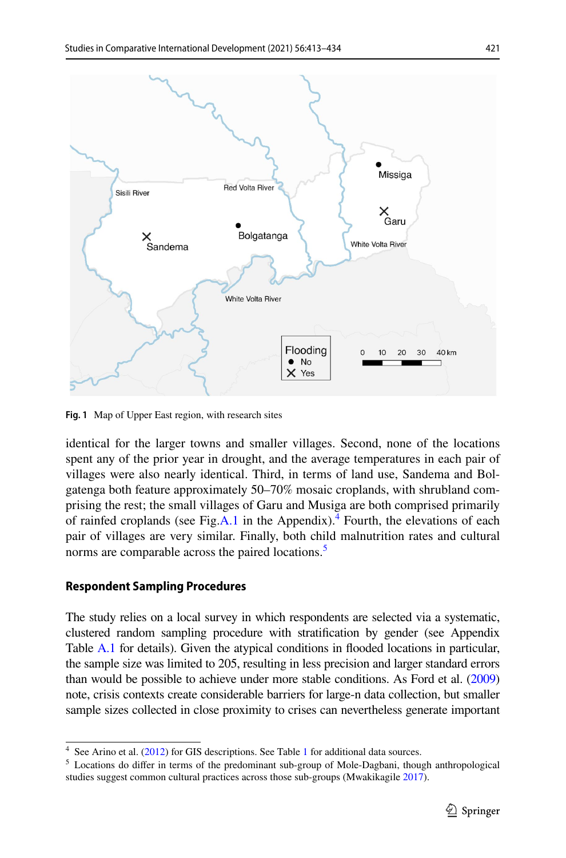

<span id="page-8-0"></span>**Fig. 1** Map of Upper East region, with research sites

identical for the larger towns and smaller villages. Second, none of the locations spent any of the prior year in drought, and the average temperatures in each pair of villages were also nearly identical. Third, in terms of land use, Sandema and Bolgatenga both feature approximately 50–70% mosaic croplands, with shrubland comprising the rest; the small villages of Garu and Musiga are both comprised primarily of rainfed croplands (see Fig.A.1 in the Appendix).<sup>[4](#page-8-1)</sup> Fourth, the elevations of each pair of villages are very similar. Finally, both child malnutrition rates and cultural norms are comparable across the paired locations.<sup>[5](#page-8-2)</sup>

## **Respondent Sampling Procedures**

The study relies on a local survey in which respondents are selected via a systematic, clustered random sampling procedure with stratifcation by gender (see Appendix Table A.1 for details). Given the atypical conditions in fooded locations in particular, the sample size was limited to 205, resulting in less precision and larger standard errors than would be possible to achieve under more stable conditions. As Ford et al. ([2009](#page-19-25)) note, crisis contexts create considerable barriers for large-n data collection, but smaller sample sizes collected in close proximity to crises can nevertheless generate important

<span id="page-8-1"></span><sup>&</sup>lt;sup>4</sup> See Arino et al. [\(2012](#page-18-2)) for GIS descriptions. See Table [1](#page-9-0) for additional data sources.

<span id="page-8-2"></span> $<sup>5</sup>$  Locations do differ in terms of the predominant sub-group of Mole-Dagbani, though anthropological</sup> studies suggest common cultural practices across those sub-groups (Mwakikagile [2017\)](#page-20-28).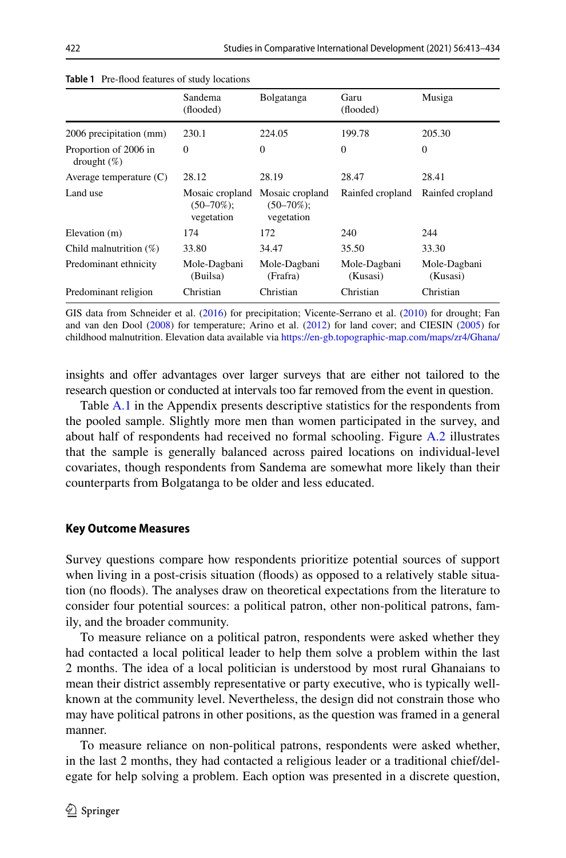|                                         | Sandema<br>(flooded)                             | Bolgatanga                                     | Garu<br>(flooded)        | Musiga                   |
|-----------------------------------------|--------------------------------------------------|------------------------------------------------|--------------------------|--------------------------|
| 2006 precipitation (mm)                 | 230.1                                            | 224.05                                         | 199.78                   | 205.30                   |
| Proportion of 2006 in<br>drought $(\%)$ | $\mathbf{0}$                                     | $\Omega$                                       | $\Omega$                 | $\overline{0}$           |
| Average temperature $(C)$               | 28.12                                            | 28.19                                          | 28.47                    | 28.41                    |
| Land use                                | Mosaic cropland<br>$(50 - 70\%)$ ;<br>vegetation | Mosaic cropland<br>$(50-70\%)$ ;<br>vegetation | Rainfed cropland         | Rainfed cropland         |
| Elevation (m)                           | 174                                              | 172                                            | 240                      | 244                      |
| Child malnutrition $(\%)$               | 33.80                                            | 34.47                                          | 35.50                    | 33.30                    |
| Predominant ethnicity                   | Mole-Dagbani<br>(Builsa)                         | Mole-Dagbani<br>(Frafra)                       | Mole-Dagbani<br>(Kusasi) | Mole-Dagbani<br>(Kusasi) |
| Predominant religion                    | Christian                                        | Christian                                      | Christian                | Christian                |

<span id="page-9-0"></span>**Table 1** Pre-food features of study locations

GIS data from Schneider et al. ([2016\)](#page-21-6) for precipitation; Vicente-Serrano et al. [\(2010](#page-21-7)) for drought; Fan and van den Dool [\(2008](#page-19-26)) for temperature; Arino et al. ([2012\)](#page-18-2) for land cover; and CIESIN ([2005\)](#page-19-27) for childhood malnutrition. Elevation data available via <https://en-gb.topographic-map.com/maps/zr4/Ghana/>

insights and ofer advantages over larger surveys that are either not tailored to the research question or conducted at intervals too far removed from the event in question.

Table A.1 in the Appendix presents descriptive statistics for the respondents from the pooled sample. Slightly more men than women participated in the survey, and about half of respondents had received no formal schooling. Figure A.2 illustrates that the sample is generally balanced across paired locations on individual-level covariates, though respondents from Sandema are somewhat more likely than their counterparts from Bolgatanga to be older and less educated.

#### **Key Outcome Measures**

Survey questions compare how respondents prioritize potential sources of support when living in a post-crisis situation (floods) as opposed to a relatively stable situation (no foods). The analyses draw on theoretical expectations from the literature to consider four potential sources: a political patron, other non-political patrons, family, and the broader community.

To measure reliance on a political patron, respondents were asked whether they had contacted a local political leader to help them solve a problem within the last 2 months. The idea of a local politician is understood by most rural Ghanaians to mean their district assembly representative or party executive, who is typically wellknown at the community level. Nevertheless, the design did not constrain those who may have political patrons in other positions, as the question was framed in a general manner.

To measure reliance on non-political patrons, respondents were asked whether, in the last 2 months, they had contacted a religious leader or a traditional chief/delegate for help solving a problem. Each option was presented in a discrete question,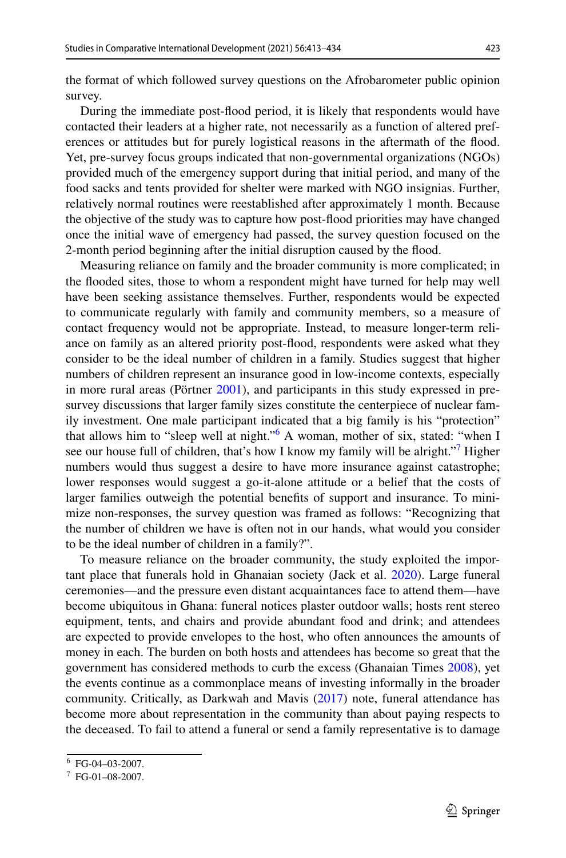the format of which followed survey questions on the Afrobarometer public opinion survey.

During the immediate post-food period, it is likely that respondents would have contacted their leaders at a higher rate, not necessarily as a function of altered preferences or attitudes but for purely logistical reasons in the aftermath of the food. Yet, pre-survey focus groups indicated that non-governmental organizations (NGOs) provided much of the emergency support during that initial period, and many of the food sacks and tents provided for shelter were marked with NGO insignias. Further, relatively normal routines were reestablished after approximately 1 month. Because the objective of the study was to capture how post-food priorities may have changed once the initial wave of emergency had passed, the survey question focused on the 2-month period beginning after the initial disruption caused by the food.

Measuring reliance on family and the broader community is more complicated; in the fooded sites, those to whom a respondent might have turned for help may well have been seeking assistance themselves. Further, respondents would be expected to communicate regularly with family and community members, so a measure of contact frequency would not be appropriate. Instead, to measure longer-term reliance on family as an altered priority post-food, respondents were asked what they consider to be the ideal number of children in a family. Studies suggest that higher numbers of children represent an insurance good in low-income contexts, especially in more rural areas (Pörtner [2001](#page-20-29)), and participants in this study expressed in presurvey discussions that larger family sizes constitute the centerpiece of nuclear family investment. One male participant indicated that a big family is his "protection" that allows him to "sleep well at night."<sup>[6](#page-10-0)</sup> A woman, mother of six, stated: "when I see our house full of children, that's how I know my family will be alright."<sup>7</sup> Higher numbers would thus suggest a desire to have more insurance against catastrophe; lower responses would suggest a go-it-alone attitude or a belief that the costs of larger families outweigh the potential benefts of support and insurance. To minimize non-responses, the survey question was framed as follows: "Recognizing that the number of children we have is often not in our hands, what would you consider to be the ideal number of children in a family?".

To measure reliance on the broader community, the study exploited the important place that funerals hold in Ghanaian society (Jack et al. [2020\)](#page-20-30). Large funeral ceremonies—and the pressure even distant acquaintances face to attend them—have become ubiquitous in Ghana: funeral notices plaster outdoor walls; hosts rent stereo equipment, tents, and chairs and provide abundant food and drink; and attendees are expected to provide envelopes to the host, who often announces the amounts of money in each. The burden on both hosts and attendees has become so great that the government has considered methods to curb the excess (Ghanaian Times [2008\)](#page-19-28), yet the events continue as a commonplace means of investing informally in the broader community. Critically, as Darkwah and Mavis ([2017\)](#page-19-29) note, funeral attendance has become more about representation in the community than about paying respects to the deceased. To fail to attend a funeral or send a family representative is to damage

<span id="page-10-0"></span><sup>6</sup> FG-04–03-2007.

<span id="page-10-1"></span> $7$  FG-01-08-2007.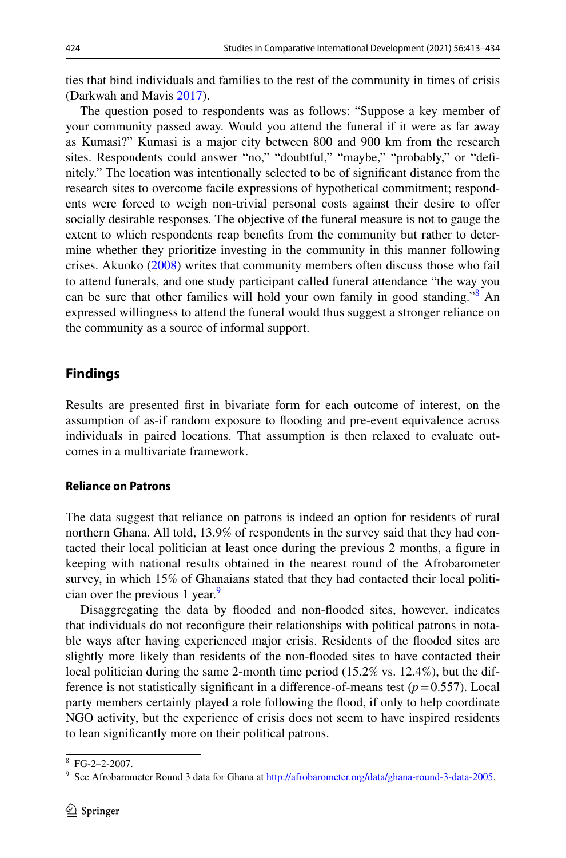ties that bind individuals and families to the rest of the community in times of crisis (Darkwah and Mavis [2017](#page-19-29)).

The question posed to respondents was as follows: "Suppose a key member of your community passed away. Would you attend the funeral if it were as far away as Kumasi?" Kumasi is a major city between 800 and 900 km from the research sites. Respondents could answer "no," "doubtful," "maybe," "probably," or "defnitely." The location was intentionally selected to be of signifcant distance from the research sites to overcome facile expressions of hypothetical commitment; respondents were forced to weigh non-trivial personal costs against their desire to ofer socially desirable responses. The objective of the funeral measure is not to gauge the extent to which respondents reap benefts from the community but rather to determine whether they prioritize investing in the community in this manner following crises. Akuoko [\(2008](#page-18-3)) writes that community members often discuss those who fail to attend funerals, and one study participant called funeral attendance "the way you can be sure that other families will hold your own family in good standing."[8](#page-11-0) An expressed willingness to attend the funeral would thus suggest a stronger reliance on the community as a source of informal support.

## **Findings**

Results are presented frst in bivariate form for each outcome of interest, on the assumption of as-if random exposure to fooding and pre-event equivalence across individuals in paired locations. That assumption is then relaxed to evaluate outcomes in a multivariate framework.

## **Reliance on Patrons**

The data suggest that reliance on patrons is indeed an option for residents of rural northern Ghana. All told, 13.9% of respondents in the survey said that they had contacted their local politician at least once during the previous 2 months, a fgure in keeping with national results obtained in the nearest round of the Afrobarometer survey, in which 15% of Ghanaians stated that they had contacted their local politi-cian over the previous 1 year.<sup>[9](#page-11-1)</sup>

Disaggregating the data by fooded and non-fooded sites, however, indicates that individuals do not reconfgure their relationships with political patrons in notable ways after having experienced major crisis. Residents of the fooded sites are slightly more likely than residents of the non-fooded sites to have contacted their local politician during the same 2-month time period (15.2% vs. 12.4%), but the difference is not statistically significant in a difference-of-means test  $(p=0.557)$ . Local party members certainly played a role following the food, if only to help coordinate NGO activity, but the experience of crisis does not seem to have inspired residents to lean signifcantly more on their political patrons.

<span id="page-11-0"></span><sup>8</sup> FG-2–2-2007.

<span id="page-11-1"></span><sup>9</sup> See Afrobarometer Round 3 data for Ghana at<http://afrobarometer.org/data/ghana-round-3-data-2005>.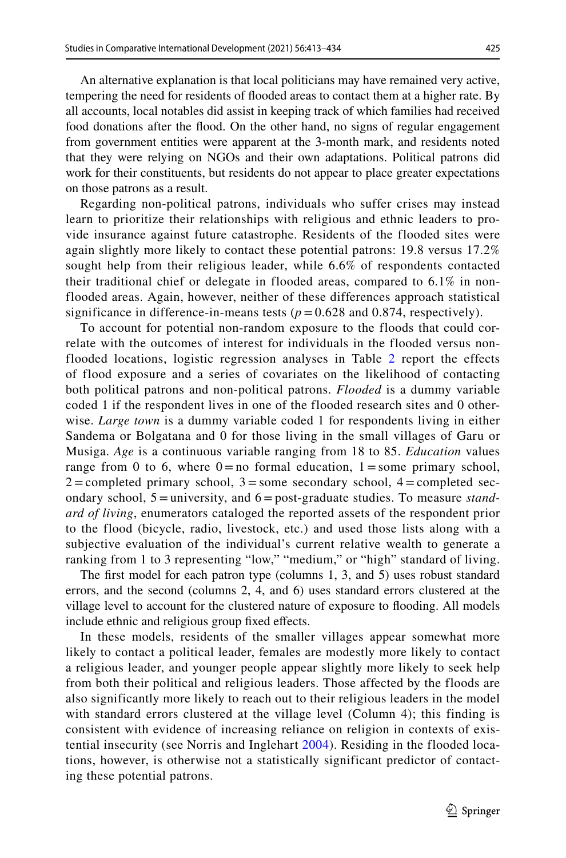An alternative explanation is that local politicians may have remained very active, tempering the need for residents of fooded areas to contact them at a higher rate. By all accounts, local notables did assist in keeping track of which families had received food donations after the food. On the other hand, no signs of regular engagement from government entities were apparent at the 3-month mark, and residents noted that they were relying on NGOs and their own adaptations. Political patrons did work for their constituents, but residents do not appear to place greater expectations on those patrons as a result.

Regarding non-political patrons, individuals who suffer crises may instead learn to prioritize their relationships with religious and ethnic leaders to provide insurance against future catastrophe. Residents of the flooded sites were again slightly more likely to contact these potential patrons: 19.8 versus 17.2% sought help from their religious leader, while 6.6% of respondents contacted their traditional chief or delegate in flooded areas, compared to 6.1% in nonflooded areas. Again, however, neither of these differences approach statistical significance in difference-in-means tests  $(p = 0.628$  and 0.874, respectively).

To account for potential non-random exposure to the floods that could correlate with the outcomes of interest for individuals in the flooded versus nonflooded locations, logistic regression analyses in Table [2](#page-13-0) report the effects of flood exposure and a series of covariates on the likelihood of contacting both political patrons and non-political patrons. *Flooded* is a dummy variable coded 1 if the respondent lives in one of the flooded research sites and 0 otherwise. *Large town* is a dummy variable coded 1 for respondents living in either Sandema or Bolgatana and 0 for those living in the small villages of Garu or Musiga. *Age* is a continuous variable ranging from 18 to 85. *Education* values range from 0 to 6, where  $0 = no$  formal education,  $1 = some primary school$ ,  $2 =$ completed primary school,  $3 =$ some secondary school,  $4 =$ completed secondary school, 5 = university, and 6 = post-graduate studies. To measure *standard of living*, enumerators cataloged the reported assets of the respondent prior to the flood (bicycle, radio, livestock, etc.) and used those lists along with a subjective evaluation of the individual's current relative wealth to generate a ranking from 1 to 3 representing "low," "medium," or "high" standard of living.

The frst model for each patron type (columns 1, 3, and 5) uses robust standard errors, and the second (columns 2, 4, and 6) uses standard errors clustered at the village level to account for the clustered nature of exposure to fooding. All models include ethnic and religious group fixed effects.

In these models, residents of the smaller villages appear somewhat more likely to contact a political leader, females are modestly more likely to contact a religious leader, and younger people appear slightly more likely to seek help from both their political and religious leaders. Those affected by the floods are also significantly more likely to reach out to their religious leaders in the model with standard errors clustered at the village level (Column 4); this finding is consistent with evidence of increasing reliance on religion in contexts of existential insecurity (see Norris and Inglehart [2004\)](#page-20-18). Residing in the flooded locations, however, is otherwise not a statistically significant predictor of contacting these potential patrons.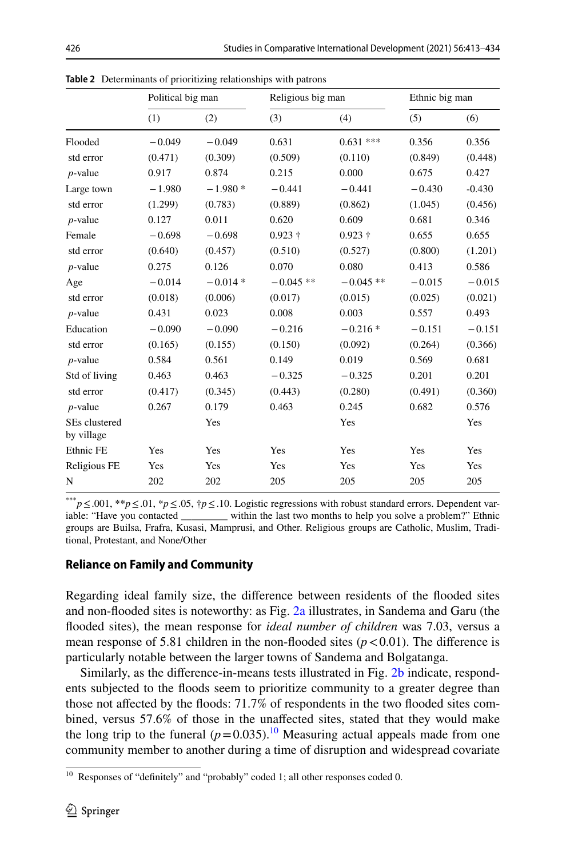|                             | Political big man |           | Religious big man |             | Ethnic big man |          |
|-----------------------------|-------------------|-----------|-------------------|-------------|----------------|----------|
|                             | (1)               | (2)       | (3)               | (4)         | (5)            | (6)      |
| Flooded                     | $-0.049$          | $-0.049$  | 0.631             | $0.631$ *** | 0.356          | 0.356    |
| std error                   | (0.471)           | (0.309)   | (0.509)           | (0.110)     | (0.849)        | (0.448)  |
| $p$ -value                  | 0.917             | 0.874     | 0.215             | 0.000       | 0.675          | 0.427    |
| Large town                  | $-1.980$          | $-1.980*$ | $-0.441$          | $-0.441$    | $-0.430$       | $-0.430$ |
| std error                   | (1.299)           | (0.783)   | (0.889)           | (0.862)     | (1.045)        | (0.456)  |
| $p$ -value                  | 0.127             | 0.011     | 0.620             | 0.609       | 0.681          | 0.346    |
| Female                      | $-0.698$          | $-0.698$  | $0.923 +$         | $0.923 +$   | 0.655          | 0.655    |
| std error                   | (0.640)           | (0.457)   | (0.510)           | (0.527)     | (0.800)        | (1.201)  |
| $p$ -value                  | 0.275             | 0.126     | 0.070             | 0.080       | 0.413          | 0.586    |
| Age                         | $-0.014$          | $-0.014*$ | $-0.045**$        | $-0.045**$  | $-0.015$       | $-0.015$ |
| std error                   | (0.018)           | (0.006)   | (0.017)           | (0.015)     | (0.025)        | (0.021)  |
| $p$ -value                  | 0.431             | 0.023     | 0.008             | 0.003       | 0.557          | 0.493    |
| Education                   | $-0.090$          | $-0.090$  | $-0.216$          | $-0.216*$   | $-0.151$       | $-0.151$ |
| std error                   | (0.165)           | (0.155)   | (0.150)           | (0.092)     | (0.264)        | (0.366)  |
| $p$ -value                  | 0.584             | 0.561     | 0.149             | 0.019       | 0.569          | 0.681    |
| Std of living               | 0.463             | 0.463     | $-0.325$          | $-0.325$    | 0.201          | 0.201    |
| std error                   | (0.417)           | (0.345)   | (0.443)           | (0.280)     | (0.491)        | (0.360)  |
| $p$ -value                  | 0.267             | 0.179     | 0.463             | 0.245       | 0.682          | 0.576    |
| SEs clustered<br>by village |                   | Yes       |                   | Yes         |                | Yes      |
| Ethnic FE                   | Yes               | Yes       | Yes               | Yes         | Yes            | Yes      |
| Religious FE                | Yes               | Yes       | Yes               | Yes         | Yes            | Yes      |
| N                           | 202               | 202       | 205               | 205         | 205            | 205      |

<span id="page-13-0"></span>**Table 2** Determinants of prioritizing relationships with patrons

<sup>\*\*\*</sup>*p*≤.001, \*\**p*≤.01, \**p*≤.05, †*p*≤.10. Logistic regressions with robust standard errors. Dependent variable: "Have you contacted \_\_\_\_\_\_\_\_ within the last two months to help you solve a problem?" Ethnic iable: "within the last two months to help you solve a problem?" Ethnic groups are Builsa, Frafra, Kusasi, Mamprusi, and Other. Religious groups are Catholic, Muslim, Traditional, Protestant, and None/Other

## **Reliance on Family and Community**

Regarding ideal family size, the diference between residents of the fooded sites and non-fooded sites is noteworthy: as Fig. [2a](#page-14-0) illustrates, in Sandema and Garu (the fooded sites), the mean response for *ideal number of children* was 7.03, versus a mean response of 5.81 children in the non-flooded sites  $(p < 0.01)$ . The difference is particularly notable between the larger towns of Sandema and Bolgatanga.

Similarly, as the diference-in-means tests illustrated in Fig. [2b](#page-14-0) indicate, respondents subjected to the foods seem to prioritize community to a greater degree than those not afected by the foods: 71.7% of respondents in the two fooded sites combined, versus 57.6% of those in the unafected sites, stated that they would make the long trip to the funeral  $(p=0.035)$ .<sup>10</sup> Measuring actual appeals made from one community member to another during a time of disruption and widespread covariate

<span id="page-13-1"></span><sup>&</sup>lt;sup>10</sup> Responses of "definitely" and "probably" coded 1; all other responses coded 0.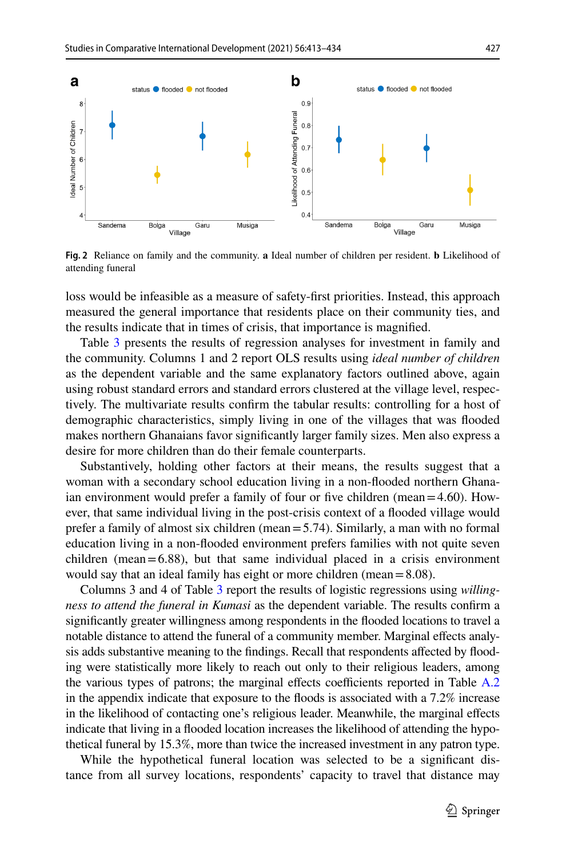

<span id="page-14-0"></span>**Fig. 2** Reliance on family and the community. **a** Ideal number of children per resident. **b** Likelihood of attending funeral

loss would be infeasible as a measure of safety-frst priorities. Instead, this approach measured the general importance that residents place on their community ties, and the results indicate that in times of crisis, that importance is magnifed.

Table [3](#page-15-0) presents the results of regression analyses for investment in family and the community. Columns 1 and 2 report OLS results using *ideal number of children* as the dependent variable and the same explanatory factors outlined above, again using robust standard errors and standard errors clustered at the village level, respectively. The multivariate results confrm the tabular results: controlling for a host of demographic characteristics, simply living in one of the villages that was fooded makes northern Ghanaians favor signifcantly larger family sizes. Men also express a desire for more children than do their female counterparts.

Substantively, holding other factors at their means, the results suggest that a woman with a secondary school education living in a non-fooded northern Ghanaian environment would prefer a family of four or five children (mean= $4.60$ ). However, that same individual living in the post-crisis context of a fooded village would prefer a family of almost six children (mean=5.74). Similarly, a man with no formal education living in a non-fooded environment prefers families with not quite seven children (mean= $6.88$ ), but that same individual placed in a crisis environment would say that an ideal family has eight or more children (mean=8.08).

Columns 3 and 4 of Table [3](#page-15-0) report the results of logistic regressions using *willingness to attend the funeral in Kumasi* as the dependent variable. The results confrm a signifcantly greater willingness among respondents in the fooded locations to travel a notable distance to attend the funeral of a community member. Marginal efects analysis adds substantive meaning to the fndings. Recall that respondents afected by fooding were statistically more likely to reach out only to their religious leaders, among the various types of patrons; the marginal effects coefficients reported in Table  $A.2$ in the appendix indicate that exposure to the foods is associated with a 7.2% increase in the likelihood of contacting one's religious leader. Meanwhile, the marginal efects indicate that living in a fooded location increases the likelihood of attending the hypothetical funeral by 15.3%, more than twice the increased investment in any patron type.

While the hypothetical funeral location was selected to be a signifcant distance from all survey locations, respondents' capacity to travel that distance may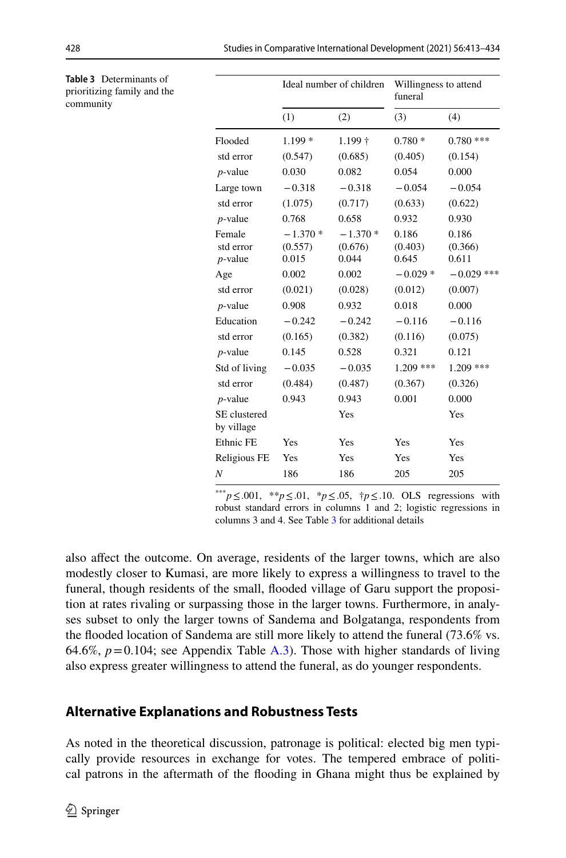|                                   | Ideal number of children      |                               | Willingness to attend<br>funeral |                           |
|-----------------------------------|-------------------------------|-------------------------------|----------------------------------|---------------------------|
|                                   | (1)                           | (2)                           | (3)                              | (4)                       |
| Flooded                           | $1.199*$                      | $1.199 +$                     | $0.780*$                         | $0.780$ ***               |
| std error                         | (0.547)                       | (0.685)                       | (0.405)                          | (0.154)                   |
| $p$ -value                        | 0.030                         | 0.082                         | 0.054                            | 0.000                     |
| Large town                        | $-0.318$                      | $-0.318$                      | $-0.054$                         | $-0.054$                  |
| std error                         | (1.075)                       | (0.717)                       | (0.633)                          | (0.622)                   |
| $p$ -value                        | 0.768                         | 0.658                         | 0.932                            | 0.930                     |
| Female<br>std error<br>$p$ -value | $-1.370*$<br>(0.557)<br>0.015 | $-1.370*$<br>(0.676)<br>0.044 | 0.186<br>(0.403)<br>0.645        | 0.186<br>(0.366)<br>0.611 |
| Age                               | 0.002                         | 0.002                         | $-0.029*$                        | $-0.029$ ***              |
| std error                         | (0.021)                       | (0.028)                       | (0.012)                          | (0.007)                   |
| $p$ -value                        | 0.908                         | 0.932                         | 0.018                            | 0.000                     |
| Education                         | $-0.242$                      | $-0.242$                      | $-0.116$                         | $-0.116$                  |
| std error                         | (0.165)                       | (0.382)                       | (0.116)                          | (0.075)                   |
| $p$ -value                        | 0.145                         | 0.528                         | 0.321                            | 0.121                     |
| Std of living                     | $-0.035$                      | $-0.035$                      | $1.209$ ***                      | $1.209$ ***               |
| std error                         | (0.484)                       | (0.487)                       | (0.367)                          | (0.326)                   |
| $p$ -value                        | 0.943                         | 0.943                         | 0.001                            | 0.000                     |
| SE clustered<br>by village        |                               | Yes                           |                                  | Yes                       |
| Ethnic FE                         | Yes                           | Yes                           | Yes                              | Yes                       |
| Religious FE                      | Yes                           | Yes                           | Yes                              | Yes                       |
| N                                 | 186                           | 186                           | 205                              | 205                       |
|                                   |                               |                               |                                  |                           |

\*\*\**p*≤.001, \*\**p*≤.01, \**p*≤.05, †*p*≤.10. OLS regressions with robust standard errors in columns 1 and 2; logistic regressions in columns 3 and 4. See Table [3](#page-15-0) for additional details

also afect the outcome. On average, residents of the larger towns, which are also modestly closer to Kumasi, are more likely to express a willingness to travel to the funeral, though residents of the small, fooded village of Garu support the proposition at rates rivaling or surpassing those in the larger towns. Furthermore, in analyses subset to only the larger towns of Sandema and Bolgatanga, respondents from the flooded location of Sandema are still more likely to attend the funeral  $(73.6\% \text{ vs.})$ 64.6%,  $p=0.104$ ; see Appendix Table A.3). Those with higher standards of living also express greater willingness to attend the funeral, as do younger respondents.

## **Alternative Explanations and Robustness Tests**

As noted in the theoretical discussion, patronage is political: elected big men typically provide resources in exchange for votes. The tempered embrace of political patrons in the aftermath of the fooding in Ghana might thus be explained by

<span id="page-15-0"></span>**Table** 3 prioritizi commun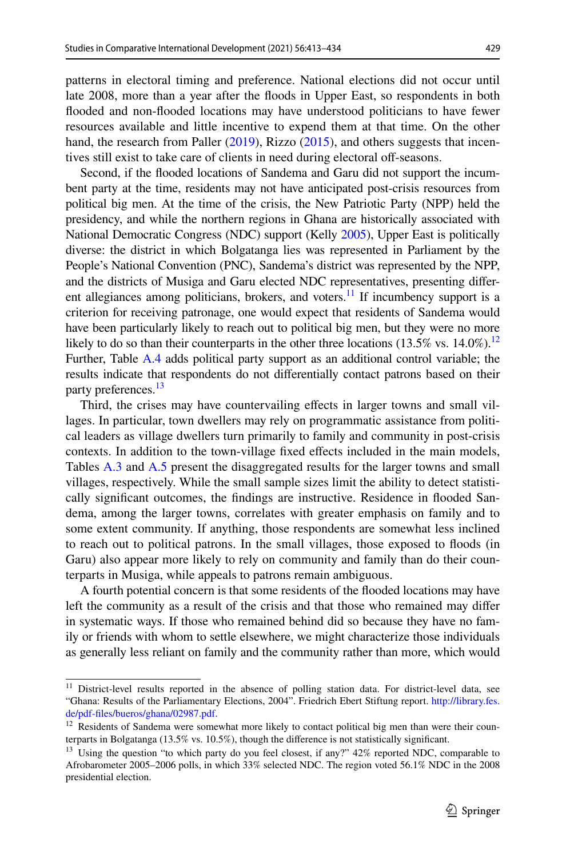patterns in electoral timing and preference. National elections did not occur until late 2008, more than a year after the foods in Upper East, so respondents in both fooded and non-fooded locations may have understood politicians to have fewer resources available and little incentive to expend them at that time. On the other hand, the research from Paller [\(2019](#page-20-24)), Rizzo [\(2015](#page-20-23)), and others suggests that incentives still exist to take care of clients in need during electoral off-seasons.

Second, if the fooded locations of Sandema and Garu did not support the incumbent party at the time, residents may not have anticipated post-crisis resources from political big men. At the time of the crisis, the New Patriotic Party (NPP) held the presidency, and while the northern regions in Ghana are historically associated with National Democratic Congress (NDC) support (Kelly [2005\)](#page-20-31), Upper East is politically diverse: the district in which Bolgatanga lies was represented in Parliament by the People's National Convention (PNC), Sandema's district was represented by the NPP, and the districts of Musiga and Garu elected NDC representatives, presenting diferent allegiances among politicians, brokers, and voters.<sup>11</sup> If incumbency support is a criterion for receiving patronage, one would expect that residents of Sandema would have been particularly likely to reach out to political big men, but they were no more likely to do so than their counterparts in the other three locations  $(13.5\% \text{ vs. } 14.0\%).$ <sup>12</sup> Further, Table A.4 adds political party support as an additional control variable; the results indicate that respondents do not diferentially contact patrons based on their party preferences.<sup>[13](#page-16-2)</sup>

Third, the crises may have countervailing efects in larger towns and small villages. In particular, town dwellers may rely on programmatic assistance from political leaders as village dwellers turn primarily to family and community in post-crisis contexts. In addition to the town-village fxed efects included in the main models, Tables A.3 and A.5 present the disaggregated results for the larger towns and small villages, respectively. While the small sample sizes limit the ability to detect statistically signifcant outcomes, the fndings are instructive. Residence in fooded Sandema, among the larger towns, correlates with greater emphasis on family and to some extent community. If anything, those respondents are somewhat less inclined to reach out to political patrons. In the small villages, those exposed to foods (in Garu) also appear more likely to rely on community and family than do their counterparts in Musiga, while appeals to patrons remain ambiguous.

A fourth potential concern is that some residents of the fooded locations may have left the community as a result of the crisis and that those who remained may difer in systematic ways. If those who remained behind did so because they have no family or friends with whom to settle elsewhere, we might characterize those individuals as generally less reliant on family and the community rather than more, which would

<span id="page-16-0"></span><sup>&</sup>lt;sup>11</sup> District-level results reported in the absence of polling station data. For district-level data, see "Ghana: Results of the Parliamentary Elections, 2004". Friedrich Ebert Stiftung report. [http://library.fes.](http://library.fes.de/pdf-files/bueros/ghana/02987.pdf) [de/pdf-fles/bueros/ghana/02987.pdf](http://library.fes.de/pdf-files/bueros/ghana/02987.pdf).

<span id="page-16-1"></span> $12$  Residents of Sandema were somewhat more likely to contact political big men than were their counterparts in Bolgatanga (13.5% vs. 10.5%), though the diference is not statistically signifcant.

<span id="page-16-2"></span><sup>&</sup>lt;sup>13</sup> Using the question "to which party do you feel closest, if any?" 42% reported NDC, comparable to Afrobarometer 2005–2006 polls, in which 33% selected NDC. The region voted 56.1% NDC in the 2008 presidential election.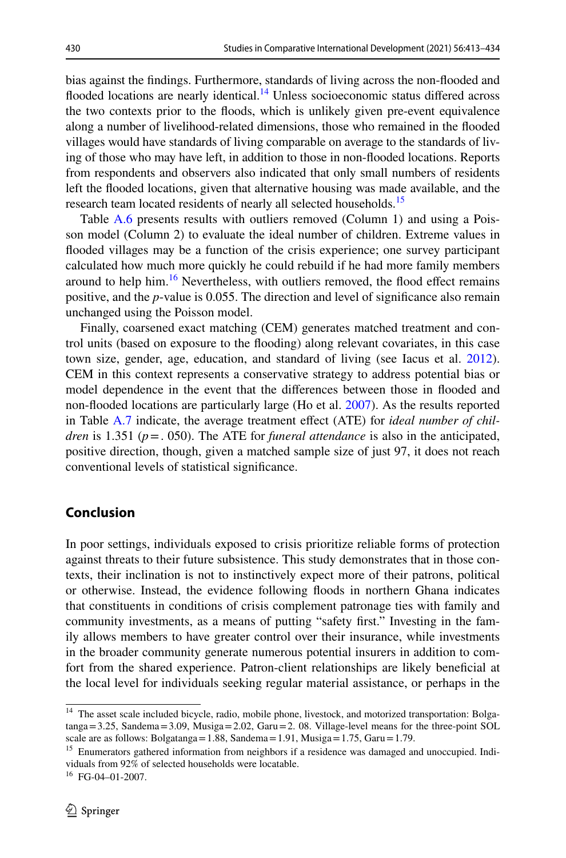bias against the fndings. Furthermore, standards of living across the non-fooded and flooded locations are nearly identical.<sup>14</sup> Unless socioeconomic status differed across the two contexts prior to the foods, which is unlikely given pre-event equivalence along a number of livelihood-related dimensions, those who remained in the fooded villages would have standards of living comparable on average to the standards of living of those who may have left, in addition to those in non-fooded locations. Reports from respondents and observers also indicated that only small numbers of residents left the fooded locations, given that alternative housing was made available, and the research team located residents of nearly all selected households.<sup>15</sup>

Table A.6 presents results with outliers removed (Column 1) and using a Poisson model (Column 2) to evaluate the ideal number of children. Extreme values in fooded villages may be a function of the crisis experience; one survey participant calculated how much more quickly he could rebuild if he had more family members around to help him. $16$  Nevertheless, with outliers removed, the flood effect remains positive, and the *p*-value is 0.055. The direction and level of signifcance also remain unchanged using the Poisson model.

Finally, coarsened exact matching (CEM) generates matched treatment and control units (based on exposure to the fooding) along relevant covariates, in this case town size, gender, age, education, and standard of living (see Iacus et al. [2012\)](#page-19-30). CEM in this context represents a conservative strategy to address potential bias or model dependence in the event that the diferences between those in fooded and non-fooded locations are particularly large (Ho et al. [2007](#page-19-31)). As the results reported in Table A.7 indicate, the average treatment efect (ATE) for *ideal number of children* is 1.351 (*p*=. 050). The ATE for *funeral attendance* is also in the anticipated, positive direction, though, given a matched sample size of just 97, it does not reach conventional levels of statistical signifcance.

## **Conclusion**

In poor settings, individuals exposed to crisis prioritize reliable forms of protection against threats to their future subsistence. This study demonstrates that in those contexts, their inclination is not to instinctively expect more of their patrons, political or otherwise. Instead, the evidence following foods in northern Ghana indicates that constituents in conditions of crisis complement patronage ties with family and community investments, as a means of putting "safety frst." Investing in the family allows members to have greater control over their insurance, while investments in the broader community generate numerous potential insurers in addition to comfort from the shared experience. Patron-client relationships are likely benefcial at the local level for individuals seeking regular material assistance, or perhaps in the

<span id="page-17-0"></span><sup>&</sup>lt;sup>14</sup> The asset scale included bicycle, radio, mobile phone, livestock, and motorized transportation: Bolga $tanga = 3.25$ , Sandema = 3.09, Musiga = 2.02, Garu = 2.08. Village-level means for the three-point SOL scale are as follows: Bolgatanga=1.88, Sandema=1.91, Musiga=1.75, Garu=1.79.

<span id="page-17-1"></span><sup>&</sup>lt;sup>15</sup> Enumerators gathered information from neighbors if a residence was damaged and unoccupied. Individuals from 92% of selected households were locatable.

<span id="page-17-2"></span><sup>16</sup> FG-04–01-2007.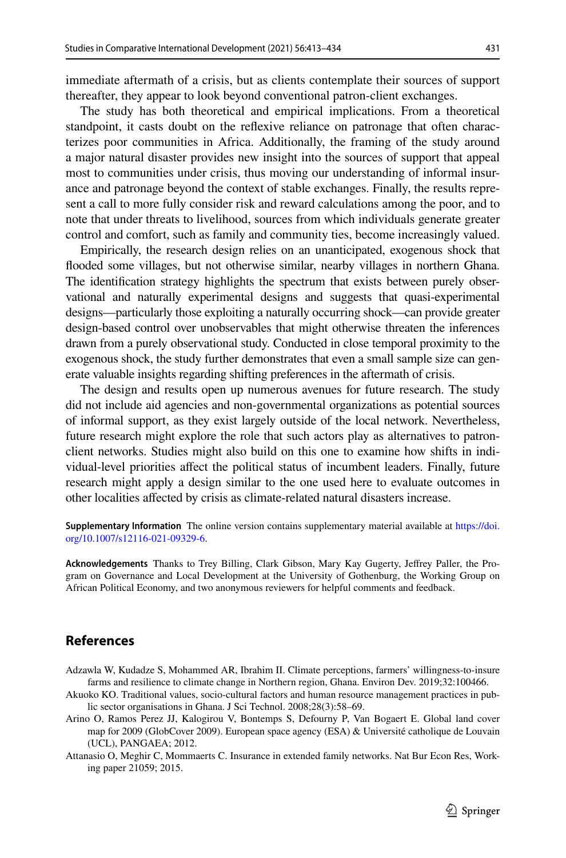immediate aftermath of a crisis, but as clients contemplate their sources of support thereafter, they appear to look beyond conventional patron-client exchanges.

The study has both theoretical and empirical implications. From a theoretical standpoint, it casts doubt on the refexive reliance on patronage that often characterizes poor communities in Africa. Additionally, the framing of the study around a major natural disaster provides new insight into the sources of support that appeal most to communities under crisis, thus moving our understanding of informal insurance and patronage beyond the context of stable exchanges. Finally, the results represent a call to more fully consider risk and reward calculations among the poor, and to note that under threats to livelihood, sources from which individuals generate greater control and comfort, such as family and community ties, become increasingly valued.

Empirically, the research design relies on an unanticipated, exogenous shock that fooded some villages, but not otherwise similar, nearby villages in northern Ghana. The identifcation strategy highlights the spectrum that exists between purely observational and naturally experimental designs and suggests that quasi-experimental designs—particularly those exploiting a naturally occurring shock—can provide greater design-based control over unobservables that might otherwise threaten the inferences drawn from a purely observational study. Conducted in close temporal proximity to the exogenous shock, the study further demonstrates that even a small sample size can generate valuable insights regarding shifting preferences in the aftermath of crisis.

The design and results open up numerous avenues for future research. The study did not include aid agencies and non-governmental organizations as potential sources of informal support, as they exist largely outside of the local network. Nevertheless, future research might explore the role that such actors play as alternatives to patronclient networks. Studies might also build on this one to examine how shifts in individual-level priorities afect the political status of incumbent leaders. Finally, future research might apply a design similar to the one used here to evaluate outcomes in other localities afected by crisis as climate-related natural disasters increase.

**Supplementary Information** The online version contains supplementary material available at [https://doi.](https://doi.org/10.1007/s12116-021-09329-6) [org/10.1007/s12116-021-09329-6](https://doi.org/10.1007/s12116-021-09329-6).

**Acknowledgements** Thanks to Trey Billing, Clark Gibson, Mary Kay Gugerty, Jefrey Paller, the Program on Governance and Local Development at the University of Gothenburg, the Working Group on African Political Economy, and two anonymous reviewers for helpful comments and feedback.

## **References**

- <span id="page-18-0"></span>Adzawla W, Kudadze S, Mohammed AR, Ibrahim II. Climate perceptions, farmers' willingness-to-insure farms and resilience to climate change in Northern region, Ghana. Environ Dev. 2019;32:100466.
- <span id="page-18-3"></span>Akuoko KO. Traditional values, socio-cultural factors and human resource management practices in public sector organisations in Ghana. J Sci Technol. 2008;28(3):58–69.
- <span id="page-18-2"></span>Arino O, Ramos Perez JJ, Kalogirou V, Bontemps S, Defourny P, Van Bogaert E. Global land cover map for 2009 (GlobCover 2009). European space agency (ESA) & Université catholique de Louvain (UCL), PANGAEA; 2012.
- <span id="page-18-1"></span>Attanasio O, Meghir C, Mommaerts C. Insurance in extended family networks. Nat Bur Econ Res, Working paper 21059; 2015.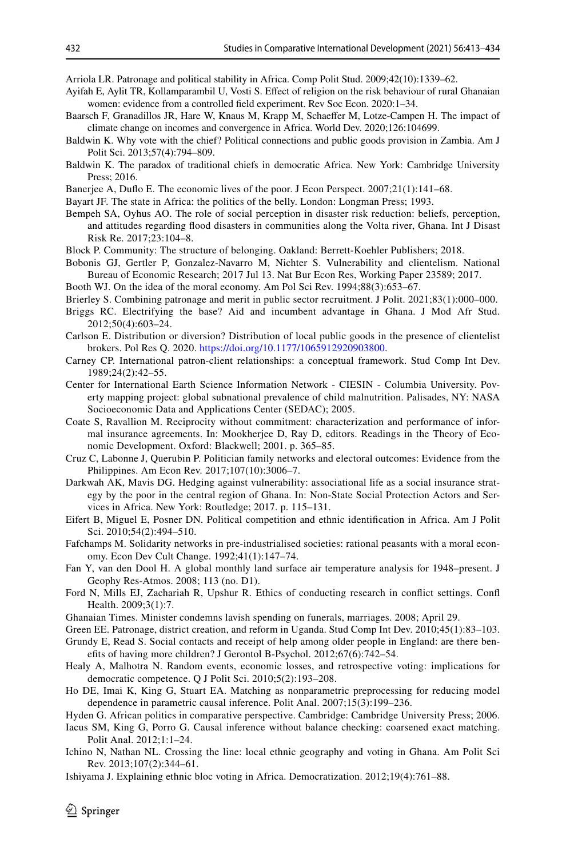<span id="page-19-3"></span>Arriola LR. Patronage and political stability in Africa. Comp Polit Stud. 2009;42(10):1339–62.

- <span id="page-19-14"></span>Ayifah E, Aylit TR, Kollamparambil U, Vosti S. Efect of religion on the risk behaviour of rural Ghanaian women: evidence from a controlled feld experiment. Rev Soc Econ. 2020:1–34.
- <span id="page-19-1"></span>Baarsch F, Granadillos JR, Hare W, Knaus M, Krapp M, Schaefer M, Lotze-Campen H. The impact of climate change on incomes and convergence in Africa. World Dev. 2020;126:104699.
- <span id="page-19-10"></span>Baldwin K. Why vote with the chief? Political connections and public goods provision in Zambia. Am J Polit Sci. 2013;57(4):794–809.
- <span id="page-19-11"></span>Baldwin K. The paradox of traditional chiefs in democratic Africa. New York: Cambridge University Press; 2016.
- <span id="page-19-17"></span>Banerjee A, Dufo E. The economic lives of the poor. J Econ Perspect. 2007;21(1):141–68.
- <span id="page-19-0"></span>Bayart JF. The state in Africa: the politics of the belly. London: Longman Press; 1993.
- <span id="page-19-24"></span>Bempeh SA, Oyhus AO. The role of social perception in disaster risk reduction: beliefs, perception, and attitudes regarding food disasters in communities along the Volta river, Ghana. Int J Disast Risk Re. 2017;23:104–8.
- <span id="page-19-16"></span>Block P. Community: The structure of belonging. Oakland: Berrett-Koehler Publishers; 2018.
- <span id="page-19-23"></span>Bobonis GJ, Gertler P, Gonzalez-Navarro M, Nichter S. Vulnerability and clientelism. National Bureau of Economic Research; 2017 Jul 13. Nat Bur Econ Res, Working Paper 23589; 2017.
- <span id="page-19-21"></span>Booth WJ. On the idea of the moral economy. Am Pol Sci Rev. 1994;88(3):653–67.
- <span id="page-19-7"></span>Brierley S. Combining patronage and merit in public sector recruitment. J Polit. 2021;83(1):000–000.
- <span id="page-19-18"></span>Briggs RC. Electrifying the base? Aid and incumbent advantage in Ghana. J Mod Afr Stud. 2012;50(4):603–24.
- <span id="page-19-9"></span>Carlson E. Distribution or diversion? Distribution of local public goods in the presence of clientelist brokers. Pol Res Q. 2020. [https://doi.org/10.1177/1065912920903800.](https://doi.org/10.1177/1065912920903800)
- <span id="page-19-12"></span>Carney CP. International patron-client relationships: a conceptual framework. Stud Comp Int Dev. 1989;24(2):42–55.
- <span id="page-19-27"></span>Center for International Earth Science Information Network - CIESIN - Columbia University. Poverty mapping project: global subnational prevalence of child malnutrition. Palisades, NY: NASA Socioeconomic Data and Applications Center (SEDAC); 2005.
- <span id="page-19-13"></span>Coate S, Ravallion M. Reciprocity without commitment: characterization and performance of informal insurance agreements. In: Mookherjee D, Ray D, editors. Readings in the Theory of Economic Development. Oxford: Blackwell; 2001. p. 365–85.
- <span id="page-19-20"></span>Cruz C, Labonne J, Querubin P. Politician family networks and electoral outcomes: Evidence from the Philippines. Am Econ Rev. 2017;107(10):3006–7.
- <span id="page-19-29"></span>Darkwah AK, Mavis DG. Hedging against vulnerability: associational life as a social insurance strategy by the poor in the central region of Ghana. In: Non-State Social Protection Actors and Services in Africa. New York: Routledge; 2017. p. 115–131.
- <span id="page-19-19"></span>Eifert B, Miguel E, Posner DN. Political competition and ethnic identifcation in Africa. Am J Polit Sci. 2010;54(2):494–510.
- <span id="page-19-15"></span>Fafchamps M. Solidarity networks in pre-industrialised societies: rational peasants with a moral economy. Econ Dev Cult Change. 1992;41(1):147–74.
- <span id="page-19-26"></span>Fan Y, van den Dool H. A global monthly land surface air temperature analysis for 1948–present. J Geophy Res-Atmos. 2008; 113 (no. D1).
- <span id="page-19-25"></span>Ford N, Mills EJ, Zachariah R, Upshur R. Ethics of conducting research in confict settings. Conf Health. 2009;3(1):7.
- <span id="page-19-28"></span>Ghanaian Times. Minister condemns lavish spending on funerals, marriages. 2008; April 29.
- <span id="page-19-4"></span>Green EE. Patronage, district creation, and reform in Uganda. Stud Comp Int Dev. 2010;45(1):83–103.
- <span id="page-19-22"></span>Grundy E, Read S. Social contacts and receipt of help among older people in England: are there benefts of having more children? J Gerontol B-Psychol. 2012;67(6):742–54.
- <span id="page-19-2"></span>Healy A, Malhotra N. Random events, economic losses, and retrospective voting: implications for democratic competence. Q J Polit Sci. 2010;5(2):193–208.
- <span id="page-19-31"></span>Ho DE, Imai K, King G, Stuart EA. Matching as nonparametric preprocessing for reducing model dependence in parametric causal inference. Polit Anal. 2007;15(3):199–236.
- <span id="page-19-5"></span>Hyden G. African politics in comparative perspective. Cambridge: Cambridge University Press; 2006.
- <span id="page-19-30"></span>Iacus SM, King G, Porro G. Causal inference without balance checking: coarsened exact matching. Polit Anal. 2012;1:1–24.
- <span id="page-19-8"></span>Ichino N, Nathan NL. Crossing the line: local ethnic geography and voting in Ghana. Am Polit Sci Rev. 2013;107(2):344–61.
- <span id="page-19-6"></span>Ishiyama J. Explaining ethnic bloc voting in Africa. Democratization. 2012;19(4):761–88.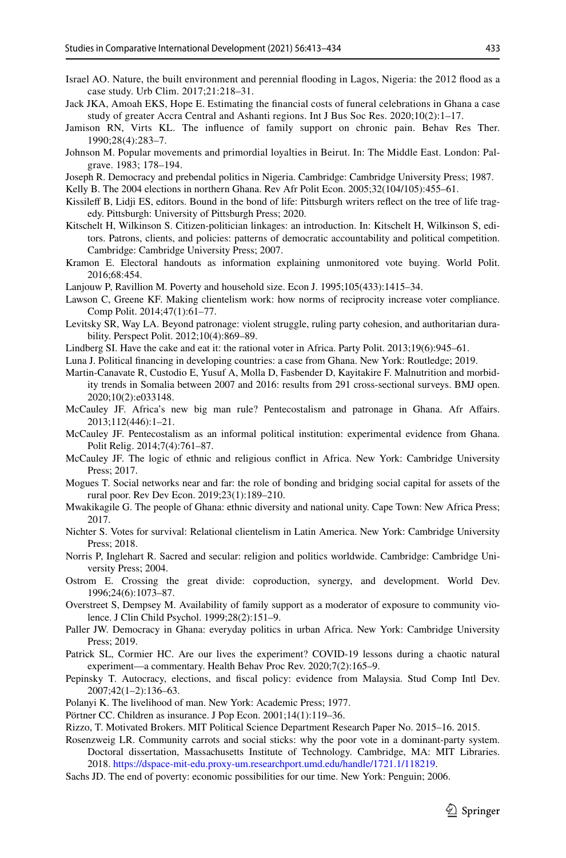- <span id="page-20-26"></span>Israel AO. Nature, the built environment and perennial fooding in Lagos, Nigeria: the 2012 food as a case study. Urb Clim. 2017;21:218–31.
- <span id="page-20-30"></span>Jack JKA, Amoah EKS, Hope E. Estimating the fnancial costs of funeral celebrations in Ghana a case study of greater Accra Central and Ashanti regions. Int J Bus Soc Res. 2020;10(2):1–17.
- <span id="page-20-20"></span>Jamison RN, Virts KL. The infuence of family support on chronic pain. Behav Res Ther. 1990;28(4):283–7.
- <span id="page-20-22"></span>Johnson M. Popular movements and primordial loyalties in Beirut. In: The Middle East. London: Palgrave. 1983; 178–194.
- <span id="page-20-0"></span>Joseph R. Democracy and prebendal politics in Nigeria. Cambridge: Cambridge University Press; 1987.
- <span id="page-20-31"></span>Kelly B. The 2004 elections in northern Ghana. Rev Afr Polit Econ. 2005;32(104/105):455–61.
- <span id="page-20-19"></span>Kissilef B, Lidji ES, editors. Bound in the bond of life: Pittsburgh writers refect on the tree of life tragedy. Pittsburgh: University of Pittsburgh Press; 2020.
- <span id="page-20-3"></span>Kitschelt H, Wilkinson S. Citizen-politician linkages: an introduction. In: Kitschelt H, Wilkinson S, editors. Patrons, clients, and policies: patterns of democratic accountability and political competition. Cambridge: Cambridge University Press; 2007.
- <span id="page-20-7"></span>Kramon E. Electoral handouts as information explaining unmonitored vote buying. World Polit. 2016;68:454.
- <span id="page-20-11"></span>Lanjouw P, Ravillion M. Poverty and household size. Econ J. 1995;105(433):1415–34.
- <span id="page-20-12"></span>Lawson C, Greene KF. Making clientelism work: how norms of reciprocity increase voter compliance. Comp Polit. 2014;47(1):61–77.
- <span id="page-20-13"></span>Levitsky SR, Way LA. Beyond patronage: violent struggle, ruling party cohesion, and authoritarian durability. Perspect Polit. 2012;10(4):869–89.
- <span id="page-20-8"></span>Lindberg SI. Have the cake and eat it: the rational voter in Africa. Party Polit. 2013;19(6):945–61.
- <span id="page-20-15"></span>Luna J. Political fnancing in developing countries: a case from Ghana. New York: Routledge; 2019.
- <span id="page-20-27"></span>Martin-Canavate R, Custodio E, Yusuf A, Molla D, Fasbender D, Kayitakire F. Malnutrition and morbidity trends in Somalia between 2007 and 2016: results from 291 cross-sectional surveys. BMJ open. 2020;10(2):e033148.
- <span id="page-20-1"></span>McCauley JF. Africa's new big man rule? Pentecostalism and patronage in Ghana. Afr Afairs. 2013;112(446):1–21.
- <span id="page-20-16"></span>McCauley JF. Pentecostalism as an informal political institution: experimental evidence from Ghana. Polit Relig. 2014;7(4):761–87.
- <span id="page-20-9"></span>McCauley JF. The logic of ethnic and religious confict in Africa. New York: Cambridge University Press; 2017.
- <span id="page-20-4"></span>Mogues T. Social networks near and far: the role of bonding and bridging social capital for assets of the rural poor. Rev Dev Econ. 2019;23(1):189–210.
- <span id="page-20-28"></span>Mwakikagile G. The people of Ghana: ethnic diversity and national unity. Cape Town: New Africa Press; 2017.
- <span id="page-20-25"></span>Nichter S. Votes for survival: Relational clientelism in Latin America. New York: Cambridge University Press; 2018.
- <span id="page-20-18"></span>Norris P, Inglehart R. Sacred and secular: religion and politics worldwide. Cambridge: Cambridge University Press; 2004.
- <span id="page-20-10"></span>Ostrom E. Crossing the great divide: coproduction, synergy, and development. World Dev. 1996;24(6):1073–87.
- <span id="page-20-21"></span>Overstreet S, Dempsey M. Availability of family support as a moderator of exposure to community violence. J Clin Child Psychol. 1999;28(2):151–9.
- <span id="page-20-24"></span>Paller JW. Democracy in Ghana: everyday politics in urban Africa. New York: Cambridge University Press; 2019.
- <span id="page-20-6"></span>Patrick SL, Cormier HC. Are our lives the experiment? COVID-19 lessons during a chaotic natural experiment—a commentary. Health Behav Proc Rev. 2020;7(2):165–9.
- <span id="page-20-14"></span>Pepinsky T. Autocracy, elections, and fscal policy: evidence from Malaysia. Stud Comp Intl Dev. 2007;42(1–2):136–63.
- <span id="page-20-2"></span>Polanyi K. The livelihood of man. New York: Academic Press; 1977.
- <span id="page-20-29"></span>Pörtner CC. Children as insurance. J Pop Econ. 2001;14(1):119–36.
- <span id="page-20-23"></span>Rizzo, T. Motivated Brokers. MIT Political Science Department Research Paper No. 2015–16. 2015.
- <span id="page-20-17"></span>Rosenzweig LR. Community carrots and social sticks: why the poor vote in a dominant-party system. Doctoral dissertation, Massachusetts Institute of Technology. Cambridge, MA: MIT Libraries. 2018.<https://dspace-mit-edu.proxy-um.researchport.umd.edu/handle/1721.1/118219>.
- <span id="page-20-5"></span>Sachs JD. The end of poverty: economic possibilities for our time. New York: Penguin; 2006.